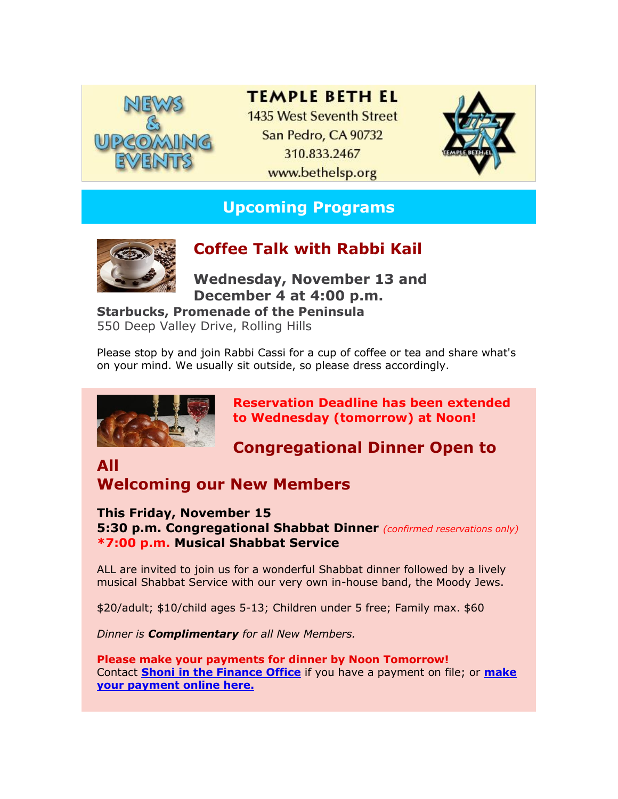

### **TEMPLE BETH EL**

1435 West Seventh Street San Pedro, CA 90732 310.833.2467 www.bethelsp.org



# **Upcoming Programs**



## **Coffee Talk with Rabbi Kail**

**December 4 at 4:00 p.m. Wednesday, November 13 and** 

**Starbucks, Promenade of the Peninsula** 550 Deep Valley Drive, Rolling Hills

Please stop by and join Rabbi Cassi for a cup of coffee or tea and share what's on your mind. We usually sit outside, so please dress accordingly.



**Reservation Deadline has been extended to Wednesday (tomorrow) at Noon!**

**Congregational Dinner Open to** 

# **All**

# **Welcoming our New Members**

**This Friday, November 15 5:30 p.m. Congregational Shabbat Dinner** *(confirmed reservations only)* **\*7:00 p.m. Musical Shabbat Service**

ALL are invited to join us for a wonderful Shabbat dinner followed by a lively musical Shabbat Service with our very own in-house band, the Moody Jews.

\$20/adult; \$10/child ages 5-13; Children under 5 free; Family max. \$60

*Dinner is Complimentary for all New Members.*

**Please make your payments for dinner by Noon Tomorrow!** Contact **[Shoni in the Finance Office](mailto:finance@bethelsp.org)** if you have a payment on file; or **[make](http://r20.rs6.net/tn.jsp?f=001CpEvF7oAN2zbdxNCazMQbKhtktRL4Ilm95pUZ1e_2uyJn3cAtmb22RFW8FFji-uJb86769aRADMIqzUFg6gJApEaPEeCisBcPNOhYpBAN6ELbfaK6I2K-DBCfjsfQ5a29eDmdu3Vmtq1exOX9R6LSu6eMoKBC6LdQqEebNQKXqMQG8daPZSZ6SEDfL51SqwEaDBqBvp4N0vVRrTUnPsS27hmIGSGoiTz&c=WcxbpzYRMB99fRO9eKjneSK-G6SfRI_IzGAh-3APmWNCJLmzQBRvaw==&ch=0cyjCDN-1CDOz6pslkk8mkg4DPg8Q0jlReU-GyFZllbia-dRdcL4bQ==)  [your payment online here.](http://r20.rs6.net/tn.jsp?f=001CpEvF7oAN2zbdxNCazMQbKhtktRL4Ilm95pUZ1e_2uyJn3cAtmb22RFW8FFji-uJb86769aRADMIqzUFg6gJApEaPEeCisBcPNOhYpBAN6ELbfaK6I2K-DBCfjsfQ5a29eDmdu3Vmtq1exOX9R6LSu6eMoKBC6LdQqEebNQKXqMQG8daPZSZ6SEDfL51SqwEaDBqBvp4N0vVRrTUnPsS27hmIGSGoiTz&c=WcxbpzYRMB99fRO9eKjneSK-G6SfRI_IzGAh-3APmWNCJLmzQBRvaw==&ch=0cyjCDN-1CDOz6pslkk8mkg4DPg8Q0jlReU-GyFZllbia-dRdcL4bQ==)**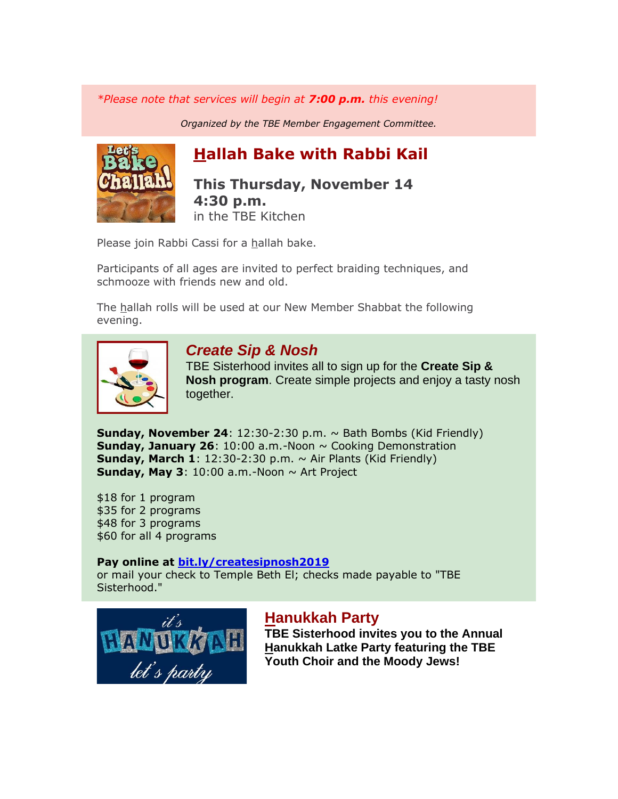*\*Please note that services will begin at 7:00 p.m. this evening!*

*Organized by the TBE Member Engagement Committee.*



# **Hallah Bake with Rabbi Kail**

### **This Thursday, November 14 4:30 p.m.** in the TBE Kitchen

Please join Rabbi Cassi for a hallah bake.

Participants of all ages are invited to perfect braiding techniques, and schmooze with friends new and old.

The hallah rolls will be used at our New Member Shabbat the following evening.



### *Create Sip & Nosh*

TBE Sisterhood invites all to sign up for the **Create Sip & Nosh program**. Create simple projects and enjoy a tasty nosh together.

**Sunday, November 24**: 12:30-2:30 p.m. ~ Bath Bombs (Kid Friendly) **Sunday, January 26:** 10:00 a.m.-Noon  $\sim$  Cooking Demonstration **Sunday, March 1**: 12:30-2:30 p.m.  $\sim$  Air Plants (Kid Friendly) **Sunday, May 3:** 10:00 a.m.-Noon  $\sim$  Art Project

\$18 for 1 program \$35 for 2 programs \$48 for 3 programs \$60 for all 4 programs

#### **Pay online at [bit.ly/createsipnosh2019](http://r20.rs6.net/tn.jsp?f=001CpEvF7oAN2zbdxNCazMQbKhtktRL4Ilm95pUZ1e_2uyJn3cAtmb22URUQ_6vu8omlNGO9YBQ70-g5cU5AJf8L4AwJ1NouaRH6N2wRiECpyqmyQsNKpYrgsW2Ul1jrZjWsKcfCFh2Z7oOaFicfG3VeVwoWblZ-DbGpV93aF4x5HaoEzheKZhnM2TcoLiRqoq3fTl722GoaDgXQ7b4wFQHstuBI0ajrlRdasnqH6viKm2IABcKtsABhQ==&c=WcxbpzYRMB99fRO9eKjneSK-G6SfRI_IzGAh-3APmWNCJLmzQBRvaw==&ch=0cyjCDN-1CDOz6pslkk8mkg4DPg8Q0jlReU-GyFZllbia-dRdcL4bQ==)**

or mail your check to Temple Beth El; checks made payable to "TBE Sisterhood."



### **Hanukkah Party**

**TBE Sisterhood invites you to the Annual Hanukkah Latke Party featuring the TBE Youth Choir and the Moody Jews!**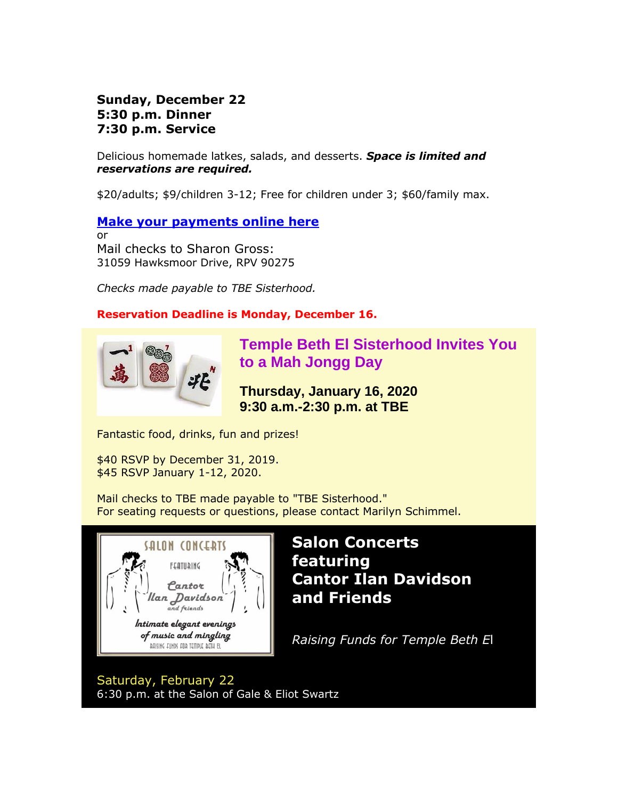### **7:30 p.m. Service 5:30 p.m. Dinner Sunday, December 22**

Delicious homemade latkes, salads, and desserts. *Space is limited and reservations are required.*

\$20/adults; \$9/children 3-12; Free for children under 3; \$60/family max.

### **[Make your payments online here](http://r20.rs6.net/tn.jsp?f=001CpEvF7oAN2zbdxNCazMQbKhtktRL4Ilm95pUZ1e_2uyJn3cAtmb22RS0Ynh-h6Fr3FTfw9x7bky4eOxsLncEVbMxA7Ja7Z48VbFj1FF19xZXCBmHVtoRbRSmIMQT3Q-tP5IaDTear5oQo2enGA9tlI9CwygprdyP3W8NoXQoJZntTpVgoXZdQIOS2ACvmniKbwy7QhuBsvBelzrc_FHIZw==&c=WcxbpzYRMB99fRO9eKjneSK-G6SfRI_IzGAh-3APmWNCJLmzQBRvaw==&ch=0cyjCDN-1CDOz6pslkk8mkg4DPg8Q0jlReU-GyFZllbia-dRdcL4bQ==)**

or Mail checks to Sharon Gross: 31059 Hawksmoor Drive, RPV 90275

*Checks made payable to TBE Sisterhood.*

### **Reservation Deadline is Monday, December 16.**



**Temple Beth El Sisterhood Invites You to a Mah Jongg Day**

**Thursday, January 16, 2020 9:30 a.m.-2:30 p.m. at TBE**

Fantastic food, drinks, fun and prizes!

\$40 RSVP by December 31, 2019. \$45 RSVP January 1-12, 2020.

Mail checks to TBE made payable to "TBE Sisterhood." For seating requests or questions, please contact Marilyn Schimmel.



**Salon Concerts featuring Cantor Ilan Davidson and Friends**

*Raising Funds for Temple Beth E*l

Saturday, February 22 6:30 p.m. at the Salon of Gale & Eliot Swartz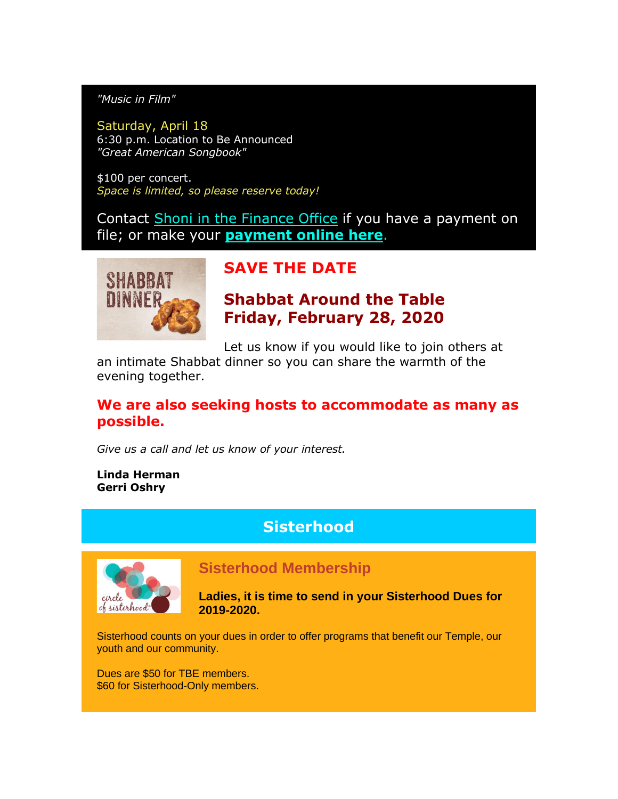*"Music in Film"*

Saturday, April 18 6:30 p.m. Location to Be Announced *"Great American Songbook"*

\$100 per concert. *Space is limited, so please reserve today!*

Contact [Shoni in the Finance Office](mailto:finance@bethelsp.org) if you have a payment on file; or make your **[payment online here](http://r20.rs6.net/tn.jsp?f=001CpEvF7oAN2zbdxNCazMQbKhtktRL4Ilm95pUZ1e_2uyJn3cAtmb22RFW8FFji-uJWvvzZvgRwDLooep3mTybPUoCobOs937_kylJ9bteb8Zej6RbCLMrJaiSY7y0SciKFaDwYM2OSVUcm4aZc-uTJTtv2y9gtUuIFDB0Eo9Joxk5gmNMC29HZrgTbsQsCb2rbvBjjKATO8r2b_5sCXR1fQ==&c=WcxbpzYRMB99fRO9eKjneSK-G6SfRI_IzGAh-3APmWNCJLmzQBRvaw==&ch=0cyjCDN-1CDOz6pslkk8mkg4DPg8Q0jlReU-GyFZllbia-dRdcL4bQ==)**.



## **SAVE THE DATE**

**Shabbat Around the Table Friday, February 28, 2020**

Let us know if you would like to join others at

an intimate Shabbat dinner so you can share the warmth of the evening together.

### **We are also seeking hosts to accommodate as many as possible.**

*Give us a call and let us know of your interest.*

#### **Linda Herman Gerri Oshry**

## **Sisterhood**



### **Sisterhood Membership**

**Ladies, it is time to send in your Sisterhood Dues for 2019-2020.**

Sisterhood counts on your dues in order to offer programs that benefit our Temple, our youth and our community.

Dues are \$50 for TBE members. \$60 for Sisterhood-Only members.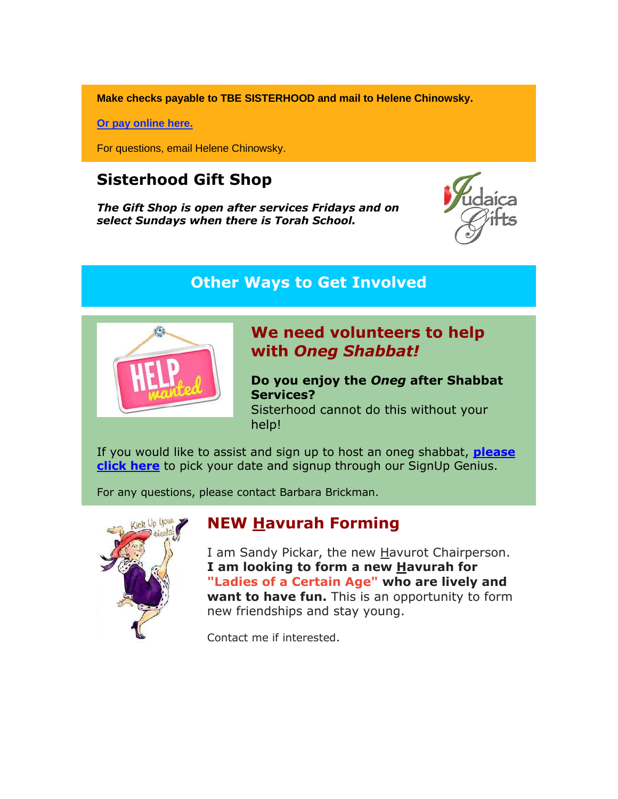**Make checks payable to TBE SISTERHOOD and mail to Helene Chinowsky.**

**[Or pay online here.](http://r20.rs6.net/tn.jsp?f=001CpEvF7oAN2zbdxNCazMQbKhtktRL4Ilm95pUZ1e_2uyJn3cAtmb22WEGIHamXZ9O94PQ5wmfUQGuLSAHCsQ2PIlegHBcBRLVfnbNNE2duoXsrOE-4cnFEt6hxzpX31j-ZIvVexZNYhLttpZEMBTYvH57mg91pNsfSlSwWCGmGsGDb8tL1gsU9oD6pggDlRdUEIYL9gWG5p7DOVVHOAl5qg==&c=WcxbpzYRMB99fRO9eKjneSK-G6SfRI_IzGAh-3APmWNCJLmzQBRvaw==&ch=0cyjCDN-1CDOz6pslkk8mkg4DPg8Q0jlReU-GyFZllbia-dRdcL4bQ==)**

For questions, email Helene Chinowsky.

## **Sisterhood Gift Shop**

*The Gift Shop is open after services Fridays and on select Sundays when there is Torah School.*



### **Other Ways to Get Involved**



### **We need volunteers to help with** *Oneg Shabbat!*

**Do you enjoy the** *Oneg* **after Shabbat Services?** Sisterhood cannot do this without your help!

If you would like to assist and sign up to host an oneg shabbat, **[please](http://r20.rs6.net/tn.jsp?f=001CpEvF7oAN2zbdxNCazMQbKhtktRL4Ilm95pUZ1e_2uyJn3cAtmb22XOPsIYJ4KIjf_AJZnMDHpMn_OTJJMLSfV3td0PA22uvoa1ghiEM95HHJCqrsU5Xy2o9go36fqVVv7PCI6SezA__4FMT2KFXE9rk7GHiodloZV9orBpOcMpAQivPEydD203U8SwdeLVX&c=WcxbpzYRMB99fRO9eKjneSK-G6SfRI_IzGAh-3APmWNCJLmzQBRvaw==&ch=0cyjCDN-1CDOz6pslkk8mkg4DPg8Q0jlReU-GyFZllbia-dRdcL4bQ==)  [click here](http://r20.rs6.net/tn.jsp?f=001CpEvF7oAN2zbdxNCazMQbKhtktRL4Ilm95pUZ1e_2uyJn3cAtmb22XOPsIYJ4KIjf_AJZnMDHpMn_OTJJMLSfV3td0PA22uvoa1ghiEM95HHJCqrsU5Xy2o9go36fqVVv7PCI6SezA__4FMT2KFXE9rk7GHiodloZV9orBpOcMpAQivPEydD203U8SwdeLVX&c=WcxbpzYRMB99fRO9eKjneSK-G6SfRI_IzGAh-3APmWNCJLmzQBRvaw==&ch=0cyjCDN-1CDOz6pslkk8mkg4DPg8Q0jlReU-GyFZllbia-dRdcL4bQ==)** to pick your date and signup through our SignUp Genius.

For any questions, please contact Barbara Brickman.



## **NEW Havurah Forming**

I am Sandy Pickar, the new Havurot Chairperson. **I am looking to form a new Havurah for "Ladies of a Certain Age" who are lively and want to have fun.** This is an opportunity to form new friendships and stay young.

Contact me if interested.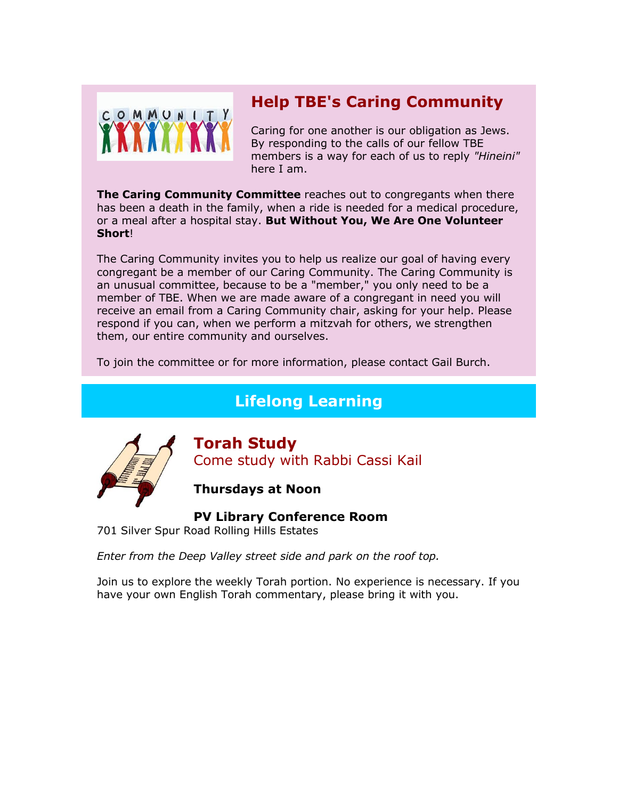

# **Help TBE's Caring Community**

Caring for one another is our obligation as Jews. By responding to the calls of our fellow TBE members is a way for each of us to reply *"Hineini"* here I am.

**The Caring Community Committee** reaches out to congregants when there has been a death in the family, when a ride is needed for a medical procedure, or a meal after a hospital stay. **But Without You, We Are One Volunteer Short**!

The Caring Community invites you to help us realize our goal of having every congregant be a member of our Caring Community. The Caring Community is an unusual committee, because to be a "member," you only need to be a member of TBE. When we are made aware of a congregant in need you will receive an email from a Caring Community chair, asking for your help. Please respond if you can, when we perform a mitzvah for others, we strengthen them, our entire community and ourselves.

To join the committee or for more information, please contact Gail Burch.

# **Lifelong Learning**



**Torah Study**  Come study with Rabbi Cassi Kail

**Thursdays at Noon**

**PV Library Conference Room**

701 Silver Spur Road Rolling Hills Estates

*Enter from the Deep Valley street side and park on the roof top.*

Join us to explore the weekly Torah portion. No experience is necessary. If you have your own English Torah commentary, please bring it with you.